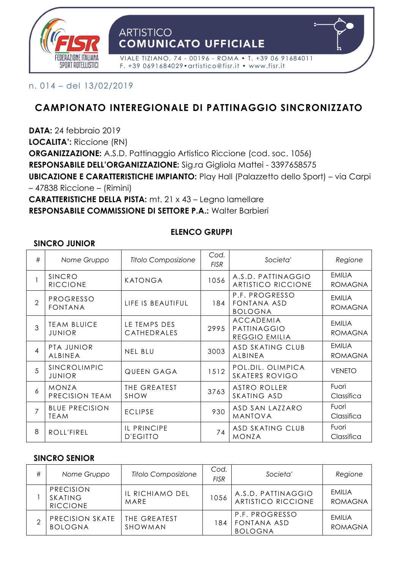

n. 014 – del 13/02/2019

# **CAMPIONATO INTEREGIONALE DI PATTINAGGIO SINCRONIZZATO**

**DATA:** 24 febbraio 2019

**LOCALITA':** Riccione (RN)

**ORGANIZZAZIONE:** A.S.D. Pattinaggio Artistico Riccione (cod. soc. 1056)

**RESPONSABILE DELL'ORGANIZZAZIONE:** Sig.ra Gigliola Mattei - 3397658575

**UBICAZIONE E CARATTERISTICHE IMPIANTO:** Play Hall (Palazzetto dello Sport) – via Carpi – 47838 Riccione – (Rimini)

**CARATTERISTICHE DELLA PISTA:** mt. 21 x 43 – Legno lamellare **RESPONSABILE COMMISSIONE DI SETTORE P.A.:** Walter Barbieri

#### **ELENCO GRUPPI**

#### **SINCRO JUNIOR**

| #              | Nome Gruppo                          | <b>Titolo Composizione</b>     | Cod.<br><b>FISR</b> | Societa'                                         | Regione                         |
|----------------|--------------------------------------|--------------------------------|---------------------|--------------------------------------------------|---------------------------------|
|                | SINCRO<br><b>RICCIONE</b>            | <b>KATONGA</b>                 | 1056                | A.S.D. PATTINAGGIO<br><b>ARTISTICO RICCIONE</b>  | <b>EMILIA</b><br><b>ROMAGNA</b> |
| $\overline{2}$ | PROGRESSO<br><b>FONTANA</b>          | LIFE IS BEAUTIFUL              | 184                 | P.F. PROGRESSO<br>FONTANA ASD<br><b>BOLOGNA</b>  | <b>EMILIA</b><br><b>ROMAGNA</b> |
| 3              | <b>TEAM BLUICE</b><br><b>JUNIOR</b>  | LE TEMPS DES<br>CATHEDRALES    | 2995                | <b>ACCADEMIA</b><br>PATTINAGGIO<br>REGGIO EMILIA | <b>EMILIA</b><br><b>ROMAGNA</b> |
| $\overline{4}$ | PTA JUNIOR<br>ALBINEA                | <b>NEL BLU</b>                 | 3003                | <b>ASD SKATING CLUB</b><br>ALBINEA               | <b>EMILIA</b><br><b>ROMAGNA</b> |
| $\overline{5}$ | SINCROLIMPIC<br><b>JUNIOR</b>        | QUEEN GAGA                     | 1512                | POL.DIL. OLIMPICA<br><b>SKATERS ROVIGO</b>       | <b>VENETO</b>                   |
| 6              | <b>MONZA</b><br>PRECISION TEAM       | THE GREATEST<br><b>SHOW</b>    | 3763                | <b>ASTRO ROLLER</b><br>SKATING ASD               | Fuori<br>Classifica             |
| $\overline{7}$ | <b>BLUE PRECISION</b><br><b>TEAM</b> | <b>ECLIPSE</b>                 | 930                 | ASD SAN LAZZARO<br><b>MANTOVA</b>                | Fuori<br>Classifica             |
| 8              | ROLL'FIREL                           | IL PRINCIPE<br><b>D'EGITTO</b> | 74                  | ASD SKATING CLUB<br><b>MONZA</b>                 | Fuori<br>Classifica             |

#### **SINCRO SENIOR**

| # | Nome Gruppo                             | Titolo Composizione     | Cod.<br><b>FISR</b> | Societa'                                        | Regione                         |
|---|-----------------------------------------|-------------------------|---------------------|-------------------------------------------------|---------------------------------|
|   | PRECISION<br>SKATING<br><b>RICCIONE</b> | IL RICHIAMO DEL<br>MARE | 1056                | A.S.D. PATTINAGGIO<br><b>ARTISTICO RICCIONE</b> | <b>FMILLA</b><br><b>ROMAGNA</b> |
| ⌒ | PRECISION SKATE<br><b>BOLOGNA</b>       | THE GREATEST<br>SHOWMAN | 184                 | P.F. PROGRESSO<br>FONTANA ASD<br><b>BOLOGNA</b> | <b>FMILLA</b><br>ROMAGNA        |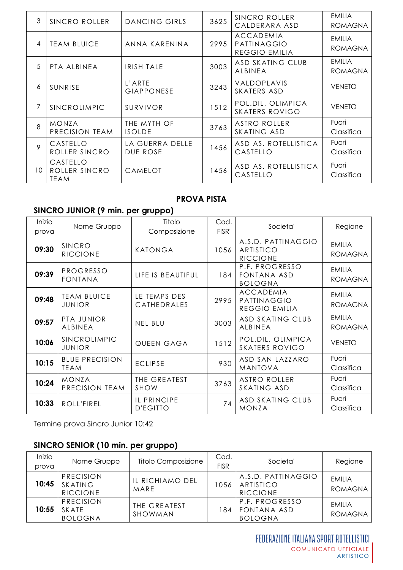| 3              | SINCRO ROLLER                            | DANCING GIRLS               | 3625 | SINCRO ROLLER<br>CALDERARA ASD                   | <b>EMILIA</b><br>ROMAGNA        |
|----------------|------------------------------------------|-----------------------------|------|--------------------------------------------------|---------------------------------|
| 4              | <b>TEAM BLUICE</b>                       | ANNA KARENINA               | 2995 | <b>ACCADEMIA</b><br>PATTINAGGIO<br>REGGIO EMILIA | EMILIA<br><b>ROMAGNA</b>        |
| 5              | PTA ALBINEA                              | <b>IRISH TALE</b>           | 3003 | ASD SKATING CLUB<br>ALBINEA                      | <b>EMILIA</b><br><b>ROMAGNA</b> |
| 6              | SUNRISE                                  | L'ARTE<br><b>GIAPPONESE</b> | 3243 | VALDOPLAVIS<br>SKATERS ASD                       | <b>VENETO</b>                   |
| 7              | SINCROLIMPIC                             | SURVIVOR                    | 1512 | POL.DIL. OLIMPICA<br><b>SKATERS ROVIGO</b>       | <b>VENETO</b>                   |
| $\overline{8}$ | <b>MONZA</b><br>PRECISION TEAM           | THE MYTH OF<br>ISOLDE       | 3763 | ASTRO ROLLER<br>SKATING ASD                      | Fuori<br>Classifica             |
| $\circ$        | CASTELLO<br>ROLLER SINCRO                | LA GUERRA DELLE<br>DUE ROSE | 1456 | ASD AS. ROTELLISTICA<br>CASTELLO                 | Fuori<br>Classifica             |
| 10             | CASTELLO<br>ROLLER SINCRO<br><b>TEAM</b> | CAMELOT                     | 1456 | ASD AS. ROTELLISTICA<br>CASTELLO                 | Fuori<br>Classifica             |

#### **PROVA PISTA**

### **SINCRO JUNIOR (9 min. per gruppo)**

| Inizio<br>prova | Nome Gruppo                          | Titolo<br>Composizione         | Cod.<br>FISR' | Societa'                                                | Regione                         |
|-----------------|--------------------------------------|--------------------------------|---------------|---------------------------------------------------------|---------------------------------|
| 09:30           | SINCRO<br><b>RICCIONE</b>            | KATONGA                        | 1056          | A.S.D. PATTINAGGIO<br>ARTISTICO<br><b>RICCIONE</b>      | <b>EMILIA</b><br><b>ROMAGNA</b> |
| 09:39           | PROGRESSO<br><b>FONTANA</b>          | LIFE IS BEAUTIFUL              | 184           | P.F. PROGRESSO<br>FONTANA ASD<br><b>BOLOGNA</b>         | <b>EMILIA</b><br><b>ROMAGNA</b> |
| 09:48           | <b>TEAM BLUICE</b><br><b>JUNIOR</b>  | LE TEMPS DES<br>CATHEDRALES    | 2995          | <b>ACCADEMIA</b><br>PATTINAGGIO<br><b>REGGIO EMILIA</b> | <b>EMILIA</b><br><b>ROMAGNA</b> |
| 09:57           | PTA JUNIOR<br>ALBINEA                | <b>NEL BLU</b>                 | 3003          | ASD SKATING CLUB<br>ALBINEA                             | <b>EMILIA</b><br><b>ROMAGNA</b> |
| 10:06           | SINCROLIMPIC<br><b>JUNIOR</b>        | QUEEN GAGA                     | 1512          | POL.DIL. OLIMPICA<br><b>SKATERS ROVIGO</b>              | <b>VENETO</b>                   |
| 10:15           | <b>BLUE PRECISION</b><br><b>TEAM</b> | <b>ECLIPSE</b>                 | 930           | ASD SAN LAZZARO<br><b>MANTOVA</b>                       | Fuori<br>Classifica             |
| 10:24           | <b>MONZA</b><br>PRECISION TEAM       | THE GREATEST<br><b>SHOW</b>    | 3763          | <b>ASTRO ROLLER</b><br>SKATING ASD                      | Fuori<br>Classifica             |
| 10:33           | ROLL'FIREL                           | IL PRINCIPE<br><b>D'EGITTO</b> | 74            | ASD SKATING CLUB<br><b>MONZA</b>                        | Fuori<br>Classifica             |

Termine prova Sincro Junior 10:42

# **SINCRO SENIOR (10 min. per gruppo)**

| Inizio<br>prova | Nome Gruppo                             | <b>Titolo Composizione</b> | Cod.<br>FISR' | Societa'                                           | Regione                         |
|-----------------|-----------------------------------------|----------------------------|---------------|----------------------------------------------------|---------------------------------|
| 10:45           | PRECISION<br>SKATING<br><b>RICCIONE</b> | IL RICHIAMO DEL<br>MARE    | 1056          | A.S.D. PATTINAGGIO<br>ARTISTICO<br><b>RICCIONE</b> | <b>EMILIA</b><br><b>ROMAGNA</b> |
| 10:55           | PRECISION<br>SKATE<br><b>BOLOGNA</b>    | THE GREATEST<br>SHOWMAN    | 184           | P.F. PROGRESSO<br>FONTANA ASD<br><b>BOLOGNA</b>    | <b>FMILLA</b><br><b>ROMAGNA</b> |